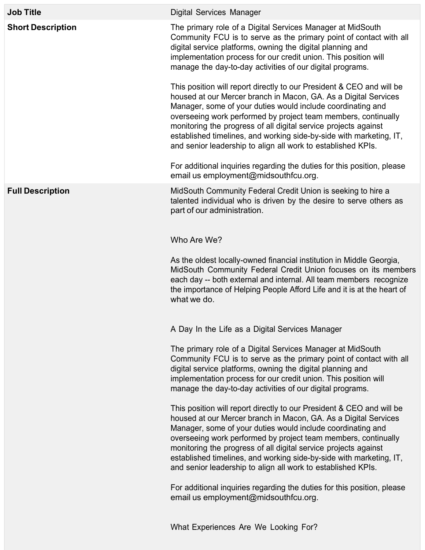| <b>Job Title</b>         | <b>Digital Services Manager</b>                                                                                                                                                                                                                                                                                                                                                                                                                                                                                                                                                                                                                                                                                                                                                                                                                                                                                                                                                             |
|--------------------------|---------------------------------------------------------------------------------------------------------------------------------------------------------------------------------------------------------------------------------------------------------------------------------------------------------------------------------------------------------------------------------------------------------------------------------------------------------------------------------------------------------------------------------------------------------------------------------------------------------------------------------------------------------------------------------------------------------------------------------------------------------------------------------------------------------------------------------------------------------------------------------------------------------------------------------------------------------------------------------------------|
| <b>Short Description</b> | The primary role of a Digital Services Manager at MidSouth<br>Community FCU is to serve as the primary point of contact with all<br>digital service platforms, owning the digital planning and<br>implementation process for our credit union. This position will<br>manage the day-to-day activities of our digital programs.<br>This position will report directly to our President & CEO and will be<br>housed at our Mercer branch in Macon, GA. As a Digital Services<br>Manager, some of your duties would include coordinating and<br>overseeing work performed by project team members, continually<br>monitoring the progress of all digital service projects against<br>established timelines, and working side-by-side with marketing, IT,<br>and senior leadership to align all work to established KPIs.<br>For additional inquiries regarding the duties for this position, please                                                                                            |
| <b>Full Description</b>  | email us employment@midsouthfcu.org.<br>MidSouth Community Federal Credit Union is seeking to hire a<br>talented individual who is driven by the desire to serve others as<br>part of our administration.                                                                                                                                                                                                                                                                                                                                                                                                                                                                                                                                                                                                                                                                                                                                                                                   |
|                          | Who Are We?<br>As the oldest locally-owned financial institution in Middle Georgia,<br>MidSouth Community Federal Credit Union focuses on its members<br>each day -- both external and internal. All team members recognize<br>the importance of Helping People Afford Life and it is at the heart of<br>what we do.                                                                                                                                                                                                                                                                                                                                                                                                                                                                                                                                                                                                                                                                        |
|                          | A Day In the Life as a Digital Services Manager<br>The primary role of a Digital Services Manager at MidSouth<br>Community FCU is to serve as the primary point of contact with all<br>digital service platforms, owning the digital planning and<br>implementation process for our credit union. This position will<br>manage the day-to-day activities of our digital programs.<br>This position will report directly to our President & CEO and will be<br>housed at our Mercer branch in Macon, GA. As a Digital Services<br>Manager, some of your duties would include coordinating and<br>overseeing work performed by project team members, continually<br>monitoring the progress of all digital service projects against<br>established timelines, and working side-by-side with marketing, IT,<br>and senior leadership to align all work to established KPIs.<br>For additional inquiries regarding the duties for this position, please<br>email us employment@midsouthfcu.org. |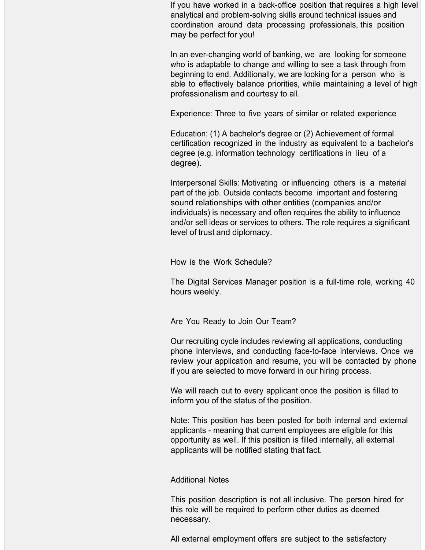If you have worked in a back-office position that requires a high level analytical and problem-solving skills around technical issues and coordination around data processing professionals, this position may be perfect for you!

In an ever-changing world of banking, we are looking for someone who is adaptable to change and willing to see a task through from beginning to end. Additionally, we are looking for a person who is able to effectively balance priorities, while maintaining a level of high professionalism and courtesy to all.

Experience: Three to five years of similar or related experience

Education: (1) A bachelor's degree or (2) Achievement of formal certification recognized in the industry as equivalent to a bachelor's degree (e.g. information technology certifications in lieu of a degree).

Interpersonal Skills: Motivating or influencing others is a material part of the job. Outside contacts become important and fostering sound relationships with other entities (companies and/or individuals) is necessary and often requires the ability to influence and/or sell ideas or services to others. The role requires a significant level of trust and diplomacy.

How is the Work Schedule?

The Digital Services Manager position is a full-time role, working 40 hours weekly.

Are You Ready to Join Our Team?

Our recruiting cycle includes reviewing all applications, conducting phone interviews, and conducting face-to-face interviews. Once we review your application and resume, you will be contacted by phone if you are selected to move forward in our hiring process.

We will reach out to every applicant once the position is filled to inform you of the status of the position.

Note: This position has been posted for both internal and external applicants - meaning that current employees are eligible for this opportunity as well. If this position is filled internally, all external applicants will be notified stating that fact.

## Additional Notes

This position description is not all inclusive. The person hired for this role will be required to perform other duties as deemed necessary.

All external employment offers are subject to the satisfactory